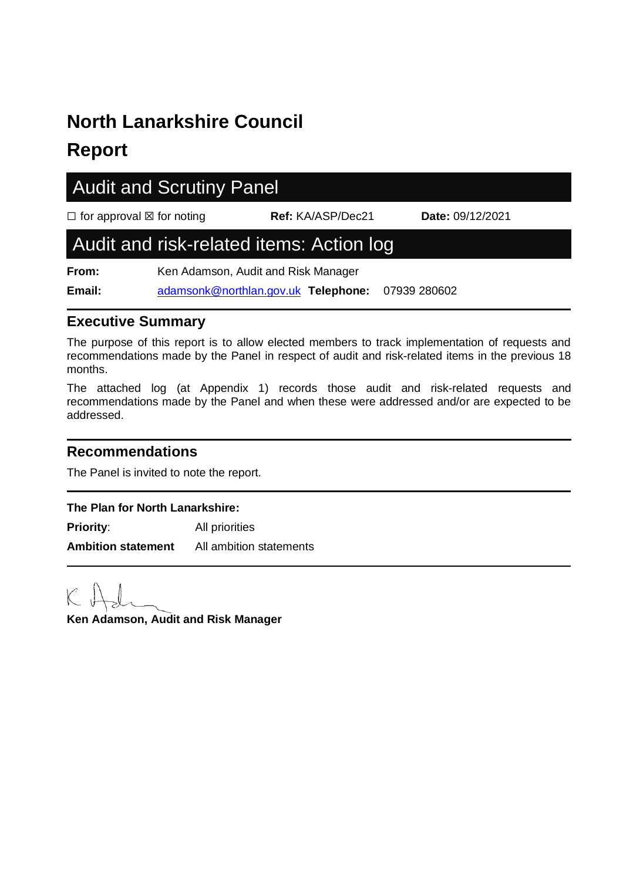# **North Lanarkshire Council**

# **Report**

# Audit and Scrutiny Panel

☐ for approval ☒ for noting **Ref:** KA/ASP/Dec21 **Date:** 09/12/2021

## Audit and risk-related items: Action log

**From:** Ken Adamson, Audit and Risk Manager **Email:** [adamsonk@northlan.gov.uk](mailto:adamsonk@northlan.gov.uk) **Telephone:** 07939 280602

#### **Executive Summary**

The purpose of this report is to allow elected members to track implementation of requests and recommendations made by the Panel in respect of audit and risk-related items in the previous 18 months.

The attached log (at Appendix 1) records those audit and risk-related requests and recommendations made by the Panel and when these were addressed and/or are expected to be addressed.

#### **Recommendations**

The Panel is invited to note the report.

#### **The Plan for North Lanarkshire:**

**Priority:** All priorities **Ambition statement** All ambition statements

**Ken Adamson, Audit and Risk Manager**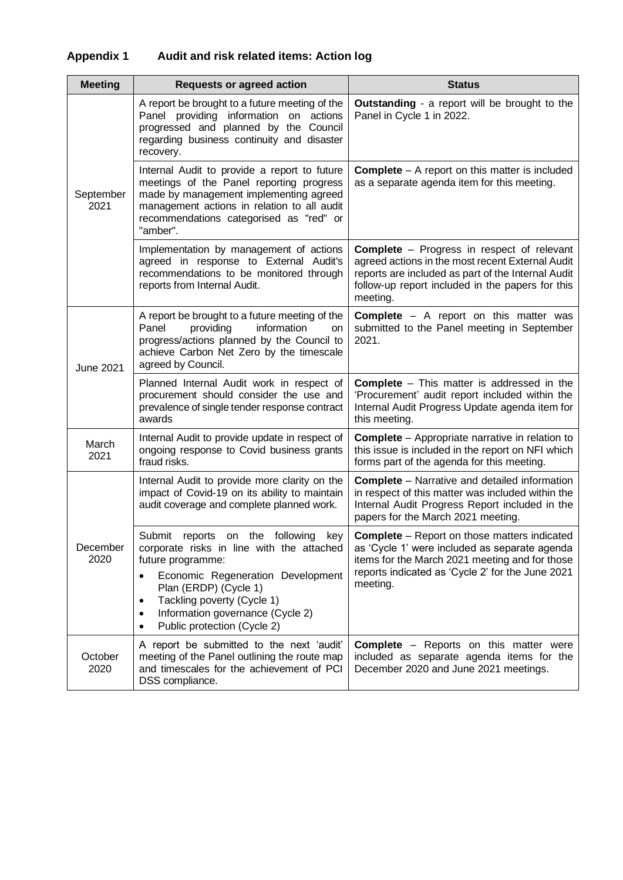| <b>Meeting</b>    | <b>Requests or agreed action</b>                                                                                                                                                                                                                                                                                           | <b>Status</b>                                                                                                                                                                                                               |
|-------------------|----------------------------------------------------------------------------------------------------------------------------------------------------------------------------------------------------------------------------------------------------------------------------------------------------------------------------|-----------------------------------------------------------------------------------------------------------------------------------------------------------------------------------------------------------------------------|
| September<br>2021 | A report be brought to a future meeting of the<br>Panel providing information on actions<br>progressed and planned by the Council<br>regarding business continuity and disaster<br>recovery.                                                                                                                               | <b>Outstanding</b> - a report will be brought to the<br>Panel in Cycle 1 in 2022.                                                                                                                                           |
|                   | Internal Audit to provide a report to future<br>meetings of the Panel reporting progress<br>made by management implementing agreed<br>management actions in relation to all audit<br>recommendations categorised as "red" or<br>"amber".                                                                                   | <b>Complete</b> $-$ A report on this matter is included<br>as a separate agenda item for this meeting.                                                                                                                      |
|                   | Implementation by management of actions<br>agreed in response to External Audit's<br>recommendations to be monitored through<br>reports from Internal Audit.                                                                                                                                                               | <b>Complete</b> – Progress in respect of relevant<br>agreed actions in the most recent External Audit<br>reports are included as part of the Internal Audit<br>follow-up report included in the papers for this<br>meeting. |
| June 2021         | A report be brought to a future meeting of the<br>Panel<br>providing<br>information<br>on<br>progress/actions planned by the Council to<br>achieve Carbon Net Zero by the timescale<br>agreed by Council.                                                                                                                  | <b>Complete</b> - A report on this matter was<br>submitted to the Panel meeting in September<br>2021.                                                                                                                       |
|                   | Planned Internal Audit work in respect of<br>procurement should consider the use and<br>prevalence of single tender response contract<br>awards                                                                                                                                                                            | <b>Complete</b> – This matter is addressed in the<br>'Procurement' audit report included within the<br>Internal Audit Progress Update agenda item for<br>this meeting.                                                      |
| March<br>2021     | Internal Audit to provide update in respect of<br>ongoing response to Covid business grants<br>fraud risks.                                                                                                                                                                                                                | <b>Complete</b> – Appropriate narrative in relation to<br>this issue is included in the report on NFI which<br>forms part of the agenda for this meeting.                                                                   |
| December<br>2020  | Internal Audit to provide more clarity on the<br>impact of Covid-19 on its ability to maintain<br>audit coverage and complete planned work.                                                                                                                                                                                | <b>Complete</b> – Narrative and detailed information<br>in respect of this matter was included within the<br>Internal Audit Progress Report included in the<br>papers for the March 2021 meeting.                           |
|                   | Submit<br>following<br>reports<br>the<br>key<br>on<br>corporate risks in line with the attached<br>future programme:<br>Economic Regeneration Development<br>Plan (ERDP) (Cycle 1)<br>Tackling poverty (Cycle 1)<br>$\bullet$<br>Information governance (Cycle 2)<br>$\bullet$<br>Public protection (Cycle 2)<br>$\bullet$ | <b>Complete</b> – Report on those matters indicated<br>as 'Cycle 1' were included as separate agenda<br>items for the March 2021 meeting and for those<br>reports indicated as 'Cycle 2' for the June 2021<br>meeting.      |
| October<br>2020   | A report be submitted to the next 'audit'<br>meeting of the Panel outlining the route map<br>and timescales for the achievement of PCI<br>DSS compliance.                                                                                                                                                                  | <b>Complete</b> – Reports on this matter were<br>included as separate agenda items for the<br>December 2020 and June 2021 meetings.                                                                                         |

### **Appendix 1 Audit and risk related items: Action log**